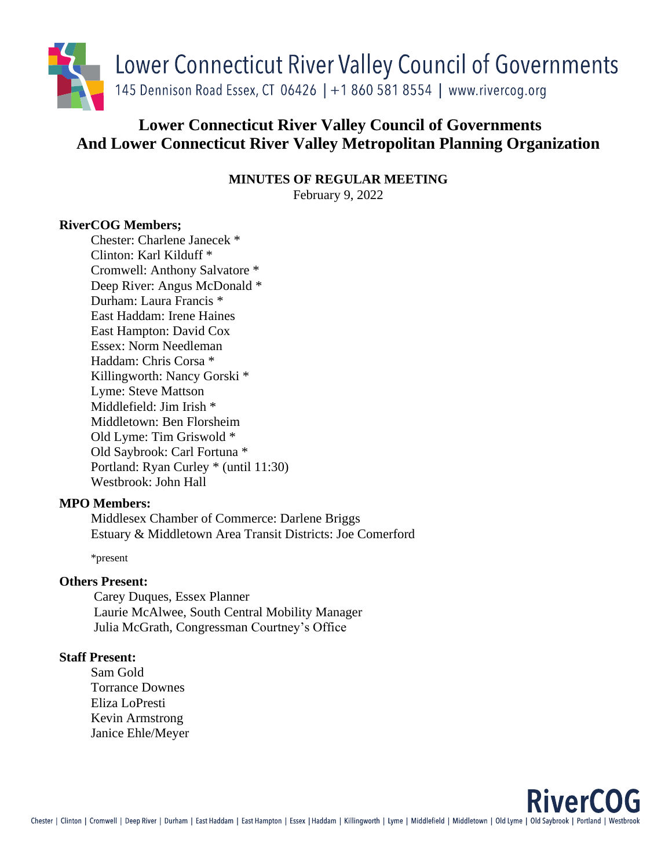

# **Lower Connecticut River Valley Council of Governments And Lower Connecticut River Valley Metropolitan Planning Organization**

**MINUTES OF REGULAR MEETING** February 9, 2022

# **RiverCOG Members;**

Chester: Charlene Janecek \* Clinton: Karl Kilduff \* Cromwell: Anthony Salvatore \* Deep River: Angus McDonald \* Durham: Laura Francis \* East Haddam: Irene Haines East Hampton: David Cox Essex: Norm Needleman Haddam: Chris Corsa \* Killingworth: Nancy Gorski \* Lyme: Steve Mattson Middlefield: Jim Irish \* Middletown: Ben Florsheim Old Lyme: Tim Griswold \* Old Saybrook: Carl Fortuna \* Portland: Ryan Curley \* (until 11:30) Westbrook: John Hall

#### **MPO Members:**

Middlesex Chamber of Commerce: Darlene Briggs Estuary & Middletown Area Transit Districts: Joe Comerford

\*present

#### **Others Present:**

Carey Duques, Essex Planner Laurie McAlwee, South Central Mobility Manager Julia McGrath, Congressman Courtney's Office

## **Staff Present:**

Sam Gold Torrance Downes Eliza LoPresti Kevin Armstrong Janice Ehle/Meyer

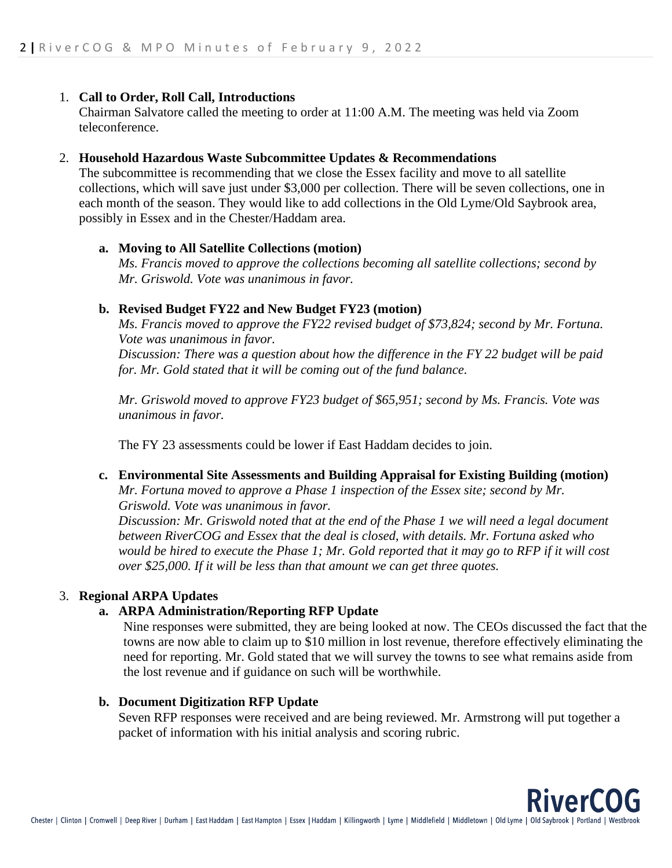## 1. **Call to Order, Roll Call, Introductions**

Chairman Salvatore called the meeting to order at 11:00 A.M. The meeting was held via Zoom teleconference.

#### 2. **Household Hazardous Waste Subcommittee Updates & Recommendations**

The subcommittee is recommending that we close the Essex facility and move to all satellite collections, which will save just under \$3,000 per collection. There will be seven collections, one in each month of the season. They would like to add collections in the Old Lyme/Old Saybrook area, possibly in Essex and in the Chester/Haddam area.

## **a. Moving to All Satellite Collections (motion)**

*Ms. Francis moved to approve the collections becoming all satellite collections; second by Mr. Griswold. Vote was unanimous in favor.* 

## **b. Revised Budget FY22 and New Budget FY23 (motion)**

*Ms. Francis moved to approve the FY22 revised budget of \$73,824; second by Mr. Fortuna. Vote was unanimous in favor. Discussion: There was a question about how the difference in the FY 22 budget will be paid for. Mr. Gold stated that it will be coming out of the fund balance.* 

*Mr. Griswold moved to approve FY23 budget of \$65,951; second by Ms. Francis. Vote was unanimous in favor.* 

The FY 23 assessments could be lower if East Haddam decides to join.

#### **c. Environmental Site Assessments and Building Appraisal for Existing Building (motion)**

*Mr. Fortuna moved to approve a Phase 1 inspection of the Essex site; second by Mr. Griswold. Vote was unanimous in favor.* 

*Discussion: Mr. Griswold noted that at the end of the Phase 1 we will need a legal document between RiverCOG and Essex that the deal is closed, with details. Mr. Fortuna asked who would be hired to execute the Phase 1; Mr. Gold reported that it may go to RFP if it will cost over \$25,000. If it will be less than that amount we can get three quotes.* 

# 3. **Regional ARPA Updates**

# **a. ARPA Administration/Reporting RFP Update**

Nine responses were submitted, they are being looked at now. The CEOs discussed the fact that the towns are now able to claim up to \$10 million in lost revenue, therefore effectively eliminating the need for reporting. Mr. Gold stated that we will survey the towns to see what remains aside from the lost revenue and if guidance on such will be worthwhile.

**RiverCOG** 

# **b. Document Digitization RFP Update**

Seven RFP responses were received and are being reviewed. Mr. Armstrong will put together a packet of information with his initial analysis and scoring rubric.